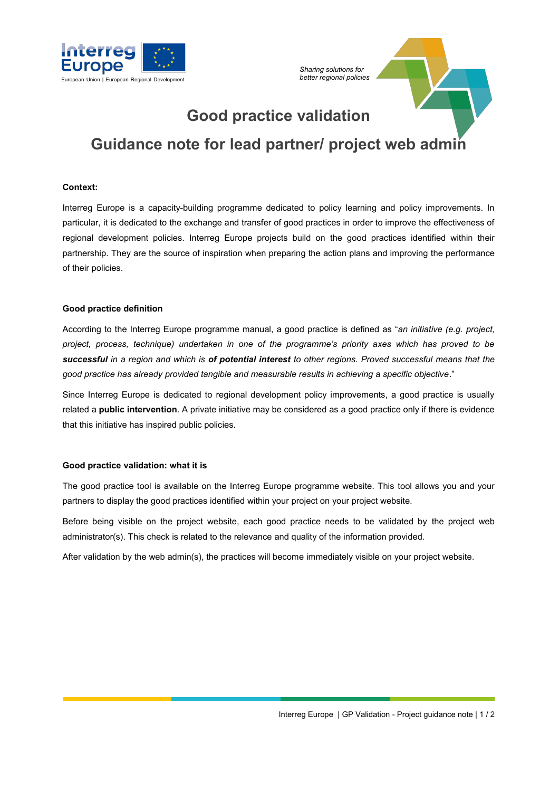



# **Good practice validation Guidance note for lead partner/ project web admin**

### **Context:**

Interreg Europe is a capacity-building programme dedicated to policy learning and policy improvements. In particular, it is dedicated to the exchange and transfer of good practices in order to improve the effectiveness of regional development policies. Interreg Europe projects build on the good practices identified within their partnership. They are the source of inspiration when preparing the action plans and improving the performance of their policies.

## **Good practice definition**

According to the Interreg Europe programme manual, a good practice is defined as "*an initiative (e.g. project, project, process, technique) undertaken in one of the programme's priority axes which has proved to be successful in a region and which is of potential interest to other regions. Proved successful means that the good practice has already provided tangible and measurable results in achieving a specific objective*."

Since Interreg Europe is dedicated to regional development policy improvements, a good practice is usually related a **public intervention**. A private initiative may be considered as a good practice only if there is evidence that this initiative has inspired public policies.

#### **Good practice validation: what it is**

The good practice tool is available on the Interreg Europe programme website. This tool allows you and your partners to display the good practices identified within your project on your project website.

Before being visible on the project website, each good practice needs to be validated by the project web administrator(s). This check is related to the relevance and quality of the information provided.

After validation by the web admin(s), the practices will become immediately visible on your project website.